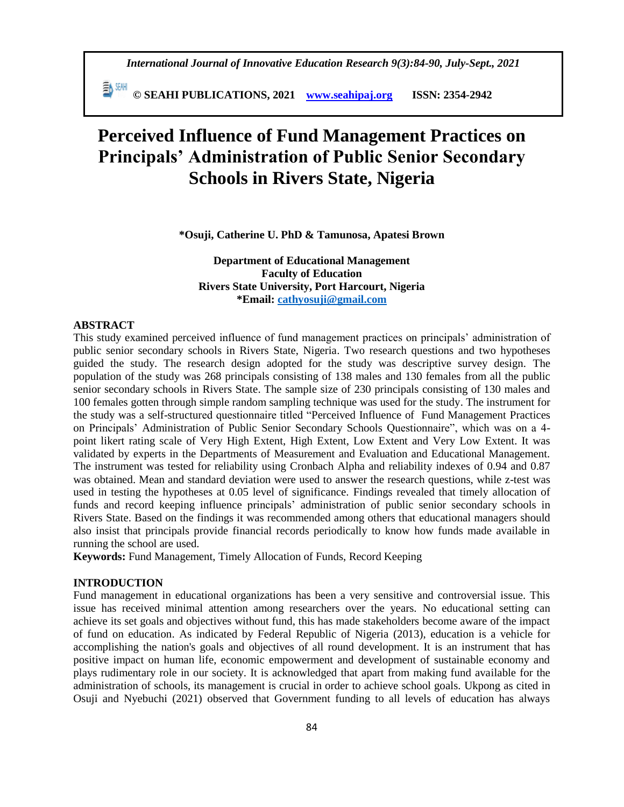**© SEAHI PUBLICATIONS, 2021 [www.seahipaj.org](http://www.seahipaj.org/) ISSN: 2354-2942**

# **Perceived Influence of Fund Management Practices on Principals' Administration of Public Senior Secondary Schools in Rivers State, Nigeria**

**\*Osuji, Catherine U. PhD & Tamunosa, Apatesi Brown**

**Department of Educational Management Faculty of Education Rivers State University, Port Harcourt, Nigeria \*Email: [cathyosuji@gmail.com](mailto:cathyosuji@gmail.com)**

#### **ABSTRACT**

This study examined perceived influence of fund management practices on principals' administration of public senior secondary schools in Rivers State, Nigeria. Two research questions and two hypotheses guided the study. The research design adopted for the study was descriptive survey design. The population of the study was 268 principals consisting of 138 males and 130 females from all the public senior secondary schools in Rivers State. The sample size of 230 principals consisting of 130 males and 100 females gotten through simple random sampling technique was used for the study. The instrument for the study was a self-structured questionnaire titled "Perceived Influence of Fund Management Practices on Principals' Administration of Public Senior Secondary Schools Questionnaire", which was on a 4 point likert rating scale of Very High Extent, High Extent, Low Extent and Very Low Extent. It was validated by experts in the Departments of Measurement and Evaluation and Educational Management. The instrument was tested for reliability using Cronbach Alpha and reliability indexes of 0.94 and 0.87 was obtained. Mean and standard deviation were used to answer the research questions, while z-test was used in testing the hypotheses at 0.05 level of significance. Findings revealed that timely allocation of funds and record keeping influence principals' administration of public senior secondary schools in Rivers State. Based on the findings it was recommended among others that educational managers should also insist that principals provide financial records periodically to know how funds made available in running the school are used.

**Keywords:** Fund Management, Timely Allocation of Funds, Record Keeping

# **INTRODUCTION**

Fund management in educational organizations has been a very sensitive and controversial issue. This issue has received minimal attention among researchers over the years. No educational setting can achieve its set goals and objectives without fund, this has made stakeholders become aware of the impact of fund on education. As indicated by Federal Republic of Nigeria (2013), education is a vehicle for accomplishing the nation's goals and objectives of all round development. It is an instrument that has positive impact on human life, economic empowerment and development of sustainable economy and plays rudimentary role in our society. It is acknowledged that apart from making fund available for the administration of schools, its management is crucial in order to achieve school goals. Ukpong as cited in Osuji and Nyebuchi (2021) observed that Government funding to all levels of education has always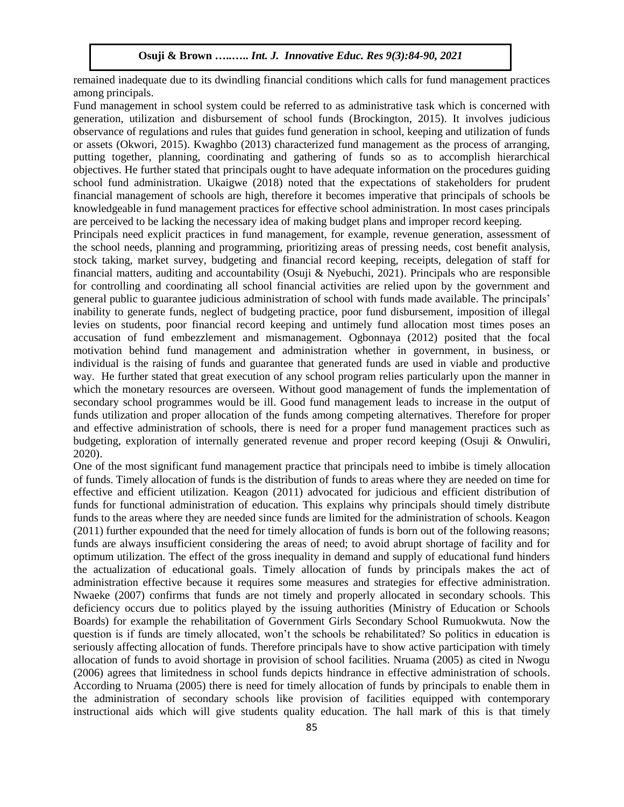remained inadequate due to its dwindling financial conditions which calls for fund management practices among principals.

Fund management in school system could be referred to as administrative task which is concerned with generation, utilization and disbursement of school funds (Brockington, 2015). It involves judicious observance of regulations and rules that guides fund generation in school, keeping and utilization of funds or assets (Okwori, 2015). Kwaghbo (2013) characterized fund management as the process of arranging, putting together, planning, coordinating and gathering of funds so as to accomplish hierarchical objectives. He further stated that principals ought to have adequate information on the procedures guiding school fund administration. Ukaigwe (2018) noted that the expectations of stakeholders for prudent financial management of schools are high, therefore it becomes imperative that principals of schools be knowledgeable in fund management practices for effective school administration. In most cases principals are perceived to be lacking the necessary idea of making budget plans and improper record keeping.

Principals need explicit practices in fund management, for example, revenue generation, assessment of the school needs, planning and programming, prioritizing areas of pressing needs, cost benefit analysis, stock taking, market survey, budgeting and financial record keeping, receipts, delegation of staff for financial matters, auditing and accountability (Osuji & Nyebuchi, 2021). Principals who are responsible for controlling and coordinating all school financial activities are relied upon by the government and general public to guarantee judicious administration of school with funds made available. The principals' inability to generate funds, neglect of budgeting practice, poor fund disbursement, imposition of illegal levies on students, poor financial record keeping and untimely fund allocation most times poses an accusation of fund embezzlement and mismanagement. Ogbonnaya (2012) posited that the focal motivation behind fund management and administration whether in government, in business, or individual is the raising of funds and guarantee that generated funds are used in viable and productive way. He further stated that great execution of any school program relies particularly upon the manner in which the monetary resources are overseen. Without good management of funds the implementation of secondary school programmes would be ill. Good fund management leads to increase in the output of funds utilization and proper allocation of the funds among competing alternatives. Therefore for proper and effective administration of schools, there is need for a proper fund management practices such as budgeting, exploration of internally generated revenue and proper record keeping (Osuji & Onwuliri, 2020).

One of the most significant fund management practice that principals need to imbibe is timely allocation of funds. Timely allocation of funds is the distribution of funds to areas where they are needed on time for effective and efficient utilization. Keagon (2011) advocated for judicious and efficient distribution of funds for functional administration of education. This explains why principals should timely distribute funds to the areas where they are needed since funds are limited for the administration of schools. Keagon (2011) further expounded that the need for timely allocation of funds is born out of the following reasons; funds are always insufficient considering the areas of need; to avoid abrupt shortage of facility and for optimum utilization. The effect of the gross inequality in demand and supply of educational fund hinders the actualization of educational goals. Timely allocation of funds by principals makes the act of administration effective because it requires some measures and strategies for effective administration. Nwaeke (2007) confirms that funds are not timely and properly allocated in secondary schools. This deficiency occurs due to politics played by the issuing authorities (Ministry of Education or Schools Boards) for example the rehabilitation of Government Girls Secondary School Rumuokwuta. Now the question is if funds are timely allocated, won't the schools be rehabilitated? So politics in education is seriously affecting allocation of funds. Therefore principals have to show active participation with timely allocation of funds to avoid shortage in provision of school facilities. Nruama (2005) as cited in Nwogu (2006) agrees that limitedness in school funds depicts hindrance in effective administration of schools. According to Nruama (2005) there is need for timely allocation of funds by principals to enable them in the administration of secondary schools like provision of facilities equipped with contemporary instructional aids which will give students quality education. The hall mark of this is that timely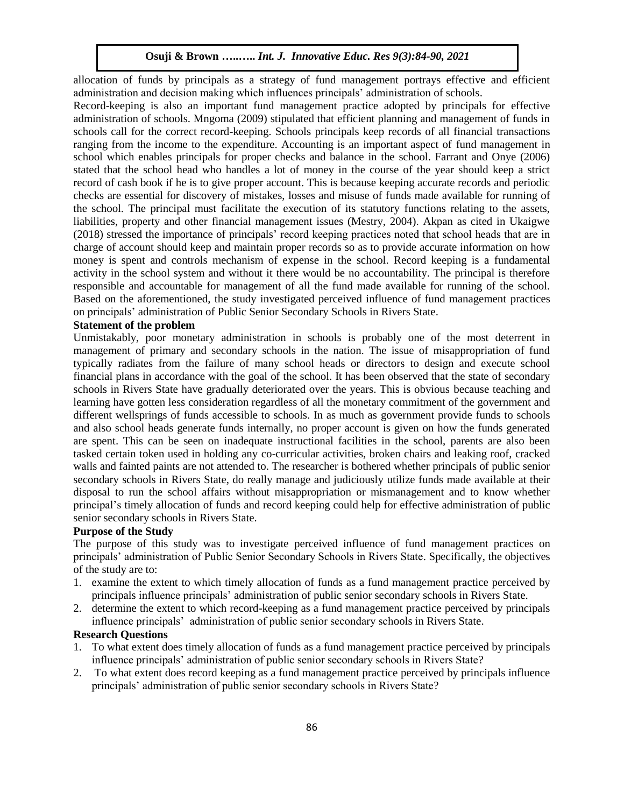allocation of funds by principals as a strategy of fund management portrays effective and efficient administration and decision making which influences principals' administration of schools.

Record-keeping is also an important fund management practice adopted by principals for effective administration of schools. Mngoma (2009) stipulated that efficient planning and management of funds in schools call for the correct record-keeping. Schools principals keep records of all financial transactions ranging from the income to the expenditure. Accounting is an important aspect of fund management in school which enables principals for proper checks and balance in the school. Farrant and Onye (2006) stated that the school head who handles a lot of money in the course of the year should keep a strict record of cash book if he is to give proper account. This is because keeping accurate records and periodic checks are essential for discovery of mistakes, losses and misuse of funds made available for running of the school. The principal must facilitate the execution of its statutory functions relating to the assets, liabilities, property and other financial management issues (Mestry, 2004). Akpan as cited in Ukaigwe (2018) stressed the importance of principals' record keeping practices noted that school heads that are in charge of account should keep and maintain proper records so as to provide accurate information on how money is spent and controls mechanism of expense in the school. Record keeping is a fundamental activity in the school system and without it there would be no accountability. The principal is therefore responsible and accountable for management of all the fund made available for running of the school. Based on the aforementioned, the study investigated perceived influence of fund management practices on principals' administration of Public Senior Secondary Schools in Rivers State.

# **Statement of the problem**

Unmistakably, poor monetary administration in schools is probably one of the most deterrent in management of primary and secondary schools in the nation. The issue of misappropriation of fund typically radiates from the failure of many school heads or directors to design and execute school financial plans in accordance with the goal of the school. It has been observed that the state of secondary schools in Rivers State have gradually deteriorated over the years. This is obvious because teaching and learning have gotten less consideration regardless of all the monetary commitment of the government and different wellsprings of funds accessible to schools. In as much as government provide funds to schools and also school heads generate funds internally, no proper account is given on how the funds generated are spent. This can be seen on inadequate instructional facilities in the school, parents are also been tasked certain token used in holding any co-curricular activities, broken chairs and leaking roof, cracked walls and fainted paints are not attended to. The researcher is bothered whether principals of public senior secondary schools in Rivers State, do really manage and judiciously utilize funds made available at their disposal to run the school affairs without misappropriation or mismanagement and to know whether principal's timely allocation of funds and record keeping could help for effective administration of public senior secondary schools in Rivers State.

#### **Purpose of the Study**

The purpose of this study was to investigate perceived influence of fund management practices on principals' administration of Public Senior Secondary Schools in Rivers State. Specifically, the objectives of the study are to:

- 1. examine the extent to which timely allocation of funds as a fund management practice perceived by principals influence principals' administration of public senior secondary schools in Rivers State.
- 2. determine the extent to which record-keeping as a fund management practice perceived by principals influence principals' administration of public senior secondary schools in Rivers State.

# **Research Questions**

- 1. To what extent does timely allocation of funds as a fund management practice perceived by principals influence principals' administration of public senior secondary schools in Rivers State?
- 2. To what extent does record keeping as a fund management practice perceived by principals influence principals' administration of public senior secondary schools in Rivers State?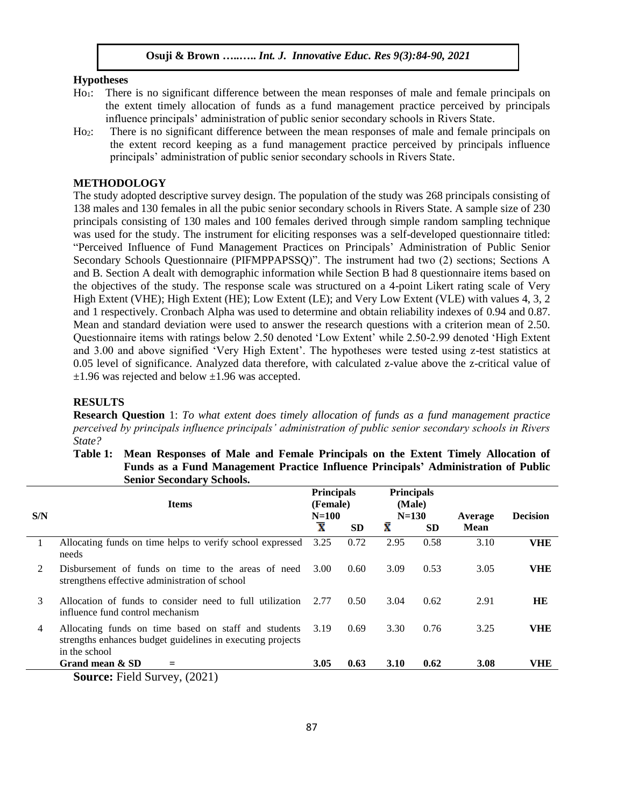#### **Hypotheses**

- Ho<sub>1</sub>: There is no significant difference between the mean responses of male and female principals on the extent timely allocation of funds as a fund management practice perceived by principals influence principals' administration of public senior secondary schools in Rivers State.
- Ho<sub>2</sub>: There is no significant difference between the mean responses of male and female principals on the extent record keeping as a fund management practice perceived by principals influence principals' administration of public senior secondary schools in Rivers State.

#### **METHODOLOGY**

The study adopted descriptive survey design. The population of the study was 268 principals consisting of 138 males and 130 females in all the pubic senior secondary schools in Rivers State. A sample size of 230 principals consisting of 130 males and 100 females derived through simple random sampling technique was used for the study. The instrument for eliciting responses was a self-developed questionnaire titled: "Perceived Influence of Fund Management Practices on Principals' Administration of Public Senior Secondary Schools Questionnaire (PIFMPPAPSSQ)". The instrument had two (2) sections; Sections A and B. Section A dealt with demographic information while Section B had 8 questionnaire items based on the objectives of the study. The response scale was structured on a 4-point Likert rating scale of Very High Extent (VHE); High Extent (HE); Low Extent (LE); and Very Low Extent (VLE) with values 4, 3, 2 and 1 respectively. Cronbach Alpha was used to determine and obtain reliability indexes of 0.94 and 0.87. Mean and standard deviation were used to answer the research questions with a criterion mean of 2.50. Questionnaire items with ratings below 2.50 denoted 'Low Extent' while 2.50-2.99 denoted 'High Extent and 3.00 and above signified 'Very High Extent'. The hypotheses were tested using z-test statistics at 0.05 level of significance. Analyzed data therefore, with calculated z-value above the z-critical value of  $\pm 1.96$  was rejected and below  $\pm 1.96$  was accepted.

#### **RESULTS**

**Research Question** 1: *To what extent does timely allocation of funds as a fund management practice perceived by principals influence principals' administration of public senior secondary schools in Rivers State?* 

**Table 1: Mean Responses of Male and Female Principals on the Extent Timely Allocation of Funds as a Fund Management Practice Influence Principals' Administration of Public Senior Secondary Schools.**

| S/N | <b>Items</b>                                                                                                                        | <b>Principals</b><br>(Female)<br>$N = 100$ |           | <b>Principals</b><br>(Male)<br>$N = 130$ |           | Average     | <b>Decision</b> |
|-----|-------------------------------------------------------------------------------------------------------------------------------------|--------------------------------------------|-----------|------------------------------------------|-----------|-------------|-----------------|
|     |                                                                                                                                     | $\overline{\mathbf{x}}$                    | <b>SD</b> | x                                        | <b>SD</b> | <b>Mean</b> |                 |
| 1   | Allocating funds on time helps to verify school expressed<br>needs                                                                  | 3.25                                       | 0.72      | 2.95                                     | 0.58      | 3.10        | <b>VHE</b>      |
| 2   | Disbursement of funds on time to the areas of need<br>strengthens effective administration of school                                | 3.00                                       | 0.60      | 3.09                                     | 0.53      | 3.05        | <b>VHE</b>      |
| 3   | Allocation of funds to consider need to full utilization<br>influence fund control mechanism                                        | 2.77                                       | 0.50      | 3.04                                     | 0.62      | 2.91        | HE              |
| 4   | Allocating funds on time based on staff and students<br>strengths enhances budget guidelines in executing projects<br>in the school | 3.19                                       | 0.69      | 3.30                                     | 0.76      | 3.25        | <b>VHE</b>      |
|     | Grand mean & SD<br>=                                                                                                                | 3.05                                       | 0.63      | <b>3.10</b>                              | 0.62      | <b>3.08</b> | <b>VHE</b>      |
|     | <b>Source:</b> Field Survey, (2021)                                                                                                 |                                            |           |                                          |           |             |                 |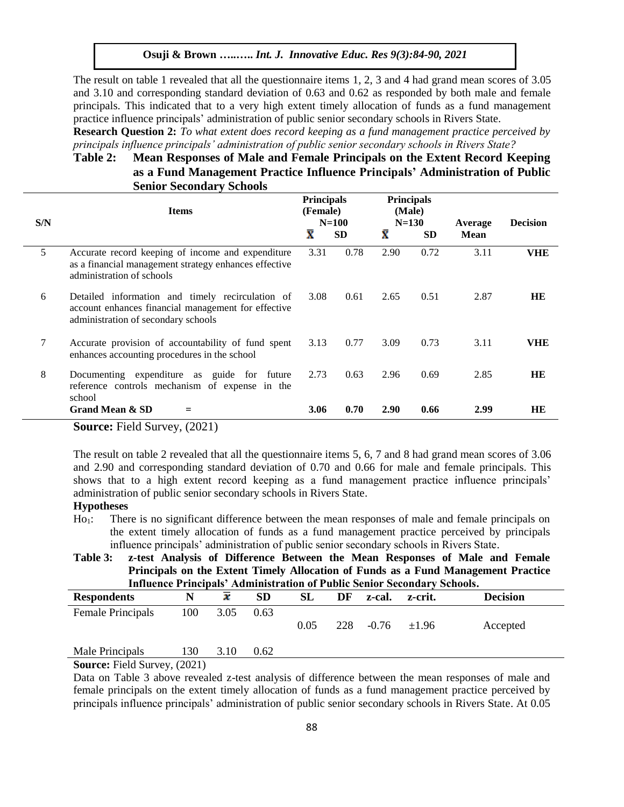The result on table 1 revealed that all the questionnaire items 1, 2, 3 and 4 had grand mean scores of 3.05 and 3.10 and corresponding standard deviation of 0.63 and 0.62 as responded by both male and female principals. This indicated that to a very high extent timely allocation of funds as a fund management practice influence principals' administration of public senior secondary schools in Rivers State.

**Research Question 2:** *To what extent does record keeping as a fund management practice perceived by principals influence principals' administration of public senior secondary schools in Rivers State?* 

# **Table 2: Mean Responses of Male and Female Principals on the Extent Record Keeping as a Fund Management Practice Influence Principals' Administration of Public Senior Secondary Schools**

| S/N | <b>Items</b>                                                                                                                                   | <b>Principals</b><br>(Female) | $N=100$   | <b>Principals</b><br>(Male)<br>$N = 130$ |           | Average     | <b>Decision</b> |
|-----|------------------------------------------------------------------------------------------------------------------------------------------------|-------------------------------|-----------|------------------------------------------|-----------|-------------|-----------------|
|     |                                                                                                                                                | $\overline{\textbf{x}}$       | <b>SD</b> | Ÿ                                        | <b>SD</b> | <b>Mean</b> |                 |
| 5   | Accurate record keeping of income and expenditure<br>as a financial management strategy enhances effective<br>administration of schools        | 3.31                          | 0.78      | 2.90                                     | 0.72      | 3.11        | VHE             |
| 6   | Detailed information and timely recirculation of<br>account enhances financial management for effective<br>administration of secondary schools | 3.08                          | 0.61      | 2.65                                     | 0.51      | 2.87        | HE              |
| 7   | Accurate provision of accountability of fund spent<br>enhances accounting procedures in the school                                             | 3.13                          | 0.77      | 3.09                                     | 0.73      | 3.11        | VHE             |
| 8   | Documenting expenditure as guide for future<br>reference controls mechanism of expense in the<br>school                                        | 2.73                          | 0.63      | 2.96                                     | 0.69      | 2.85        | <b>HE</b>       |
|     | Grand Mean & SD<br>$\sim$<br>----<br>$\lambda$ $\sim$ $\sim$ $\lambda$ $\lambda$                                                               | 3.06                          | 0.70      | <b>2.90</b>                              | 0.66      | 2.99        | HE              |

**Source:** Field Survey, (2021)

The result on table 2 revealed that all the questionnaire items 5, 6, 7 and 8 had grand mean scores of 3.06 and 2.90 and corresponding standard deviation of 0.70 and 0.66 for male and female principals. This shows that to a high extent record keeping as a fund management practice influence principals' administration of public senior secondary schools in Rivers State.

# **Hypotheses**

Ho1:There is no significant difference between the mean responses of male and female principals on the extent timely allocation of funds as a fund management practice perceived by principals influence principals' administration of public senior secondary schools in Rivers State.

**Table 3: z-test Analysis of Difference Between the Mean Responses of Male and Female Principals on the Extent Timely Allocation of Funds as a Fund Management Practice Influence Principals' Administration of Public Senior Secondary Schools.**

| <b>Respondents</b> |     |      | SD   | SL   | DF  | z-cal.  | z-crit.    | <b>Decision</b> |
|--------------------|-----|------|------|------|-----|---------|------------|-----------------|
| Female Principals  | 100 | 3.05 | 0.63 |      |     |         |            |                 |
|                    |     |      |      | 0.05 | 228 | $-0.76$ | $\pm 1.96$ | Accepted        |
|                    |     |      |      |      |     |         |            |                 |
| Male Principals    | 130 | 3.10 | 0.62 |      |     |         |            |                 |

**Source:** Field Survey, (2021)

Data on Table 3 above revealed z-test analysis of difference between the mean responses of male and female principals on the extent timely allocation of funds as a fund management practice perceived by principals influence principals' administration of public senior secondary schools in Rivers State. At 0.05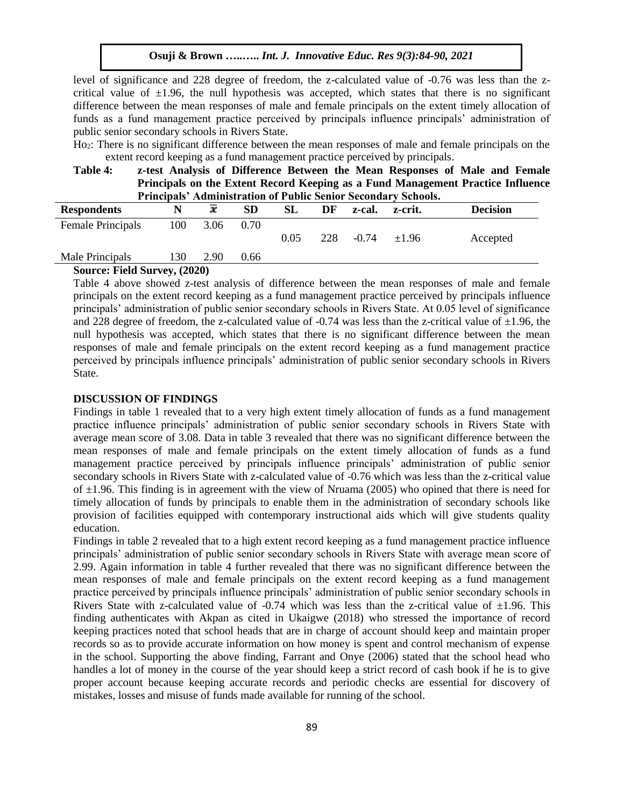level of significance and 228 degree of freedom, the z-calculated value of -0.76 was less than the zcritical value of  $\pm 1.96$ , the null hypothesis was accepted, which states that there is no significant difference between the mean responses of male and female principals on the extent timely allocation of funds as a fund management practice perceived by principals influence principals' administration of public senior secondary schools in Rivers State.

Ho2: There is no significant difference between the mean responses of male and female principals on the extent record keeping as a fund management practice perceived by principals.

**Table 4: z-test Analysis of Difference Between the Mean Responses of Male and Female Principals on the Extent Record Keeping as a Fund Management Practice Influence Principals' Administration of Public Senior Secondary Schools.**

| <b>Respondents</b> |     | х    | <b>SD</b> | <b>SL</b> | DF  | z-cal.  | z-crit.    | <b>Decision</b> |
|--------------------|-----|------|-----------|-----------|-----|---------|------------|-----------------|
| Female Principals  | 100 | 3.06 | 0.70      |           |     |         |            |                 |
|                    |     |      |           | 0.05      | 228 | $-0.74$ | $\pm 1.96$ | Accepted        |
| Male Principals    | l30 | 2.90 | 0.66      |           |     |         |            |                 |
|                    |     |      |           |           |     |         |            |                 |

#### **Source: Field Survey, (2020)**

Table 4 above showed z-test analysis of difference between the mean responses of male and female principals on the extent record keeping as a fund management practice perceived by principals influence principals' administration of public senior secondary schools in Rivers State. At 0.05 level of significance and 228 degree of freedom, the z-calculated value of  $-0.74$  was less than the z-critical value of  $\pm 1.96$ , the null hypothesis was accepted, which states that there is no significant difference between the mean responses of male and female principals on the extent record keeping as a fund management practice perceived by principals influence principals' administration of public senior secondary schools in Rivers State.

# **DISCUSSION OF FINDINGS**

Findings in table 1 revealed that to a very high extent timely allocation of funds as a fund management practice influence principals' administration of public senior secondary schools in Rivers State with average mean score of 3.08. Data in table 3 revealed that there was no significant difference between the mean responses of male and female principals on the extent timely allocation of funds as a fund management practice perceived by principals influence principals' administration of public senior secondary schools in Rivers State with z-calculated value of -0.76 which was less than the z-critical value of  $\pm$ 1.96. This finding is in agreement with the view of Nruama (2005) who opined that there is need for timely allocation of funds by principals to enable them in the administration of secondary schools like provision of facilities equipped with contemporary instructional aids which will give students quality education.

Findings in table 2 revealed that to a high extent record keeping as a fund management practice influence principals' administration of public senior secondary schools in Rivers State with average mean score of 2.99. Again information in table 4 further revealed that there was no significant difference between the mean responses of male and female principals on the extent record keeping as a fund management practice perceived by principals influence principals' administration of public senior secondary schools in Rivers State with z-calculated value of -0.74 which was less than the z-critical value of  $\pm 1.96$ . This finding authenticates with Akpan as cited in Ukaigwe (2018) who stressed the importance of record keeping practices noted that school heads that are in charge of account should keep and maintain proper records so as to provide accurate information on how money is spent and control mechanism of expense in the school. Supporting the above finding, Farrant and Onye (2006) stated that the school head who handles a lot of money in the course of the year should keep a strict record of cash book if he is to give proper account because keeping accurate records and periodic checks are essential for discovery of mistakes, losses and misuse of funds made available for running of the school.